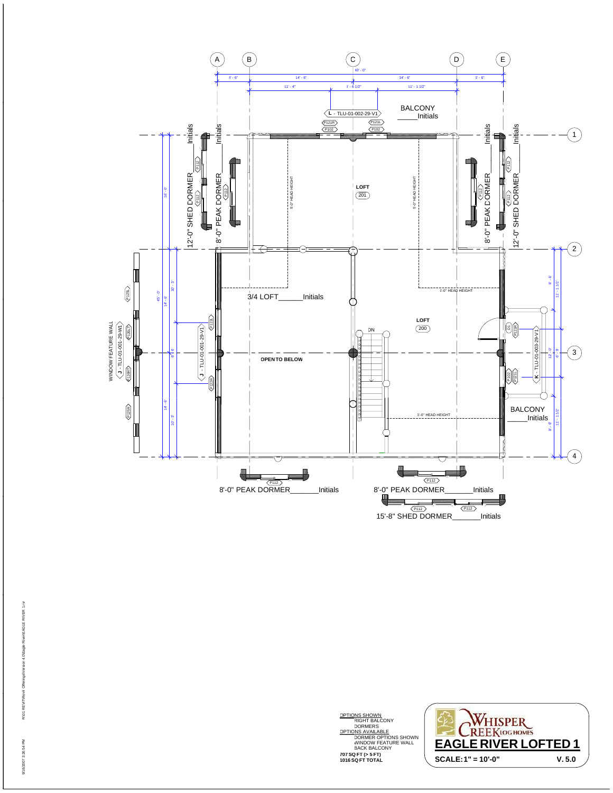

**707 SQ FT (> 5 FT) 1016 SQ FT TOTAL** OPTIONS SHOWN<br>RIGHT BALCONY<br>DORMERS<br>OPTIONS AVAILABLE<br>DORMER OPTIONS SHOWN<br>WINDOW FEATURE WALL<br>BACK BALCONY



R:\01 REVIT\Revit Offerings\Version 4.0\Eagle River\EAGLE RIVER 1.rvt vit Offerings\Version 4.0\Eagle River\EAGLE RIVER 1.rvt 9/18/2007 3:26:54 PM R:\01 REVIT\Rev 9/18/2007 3:26:54 PM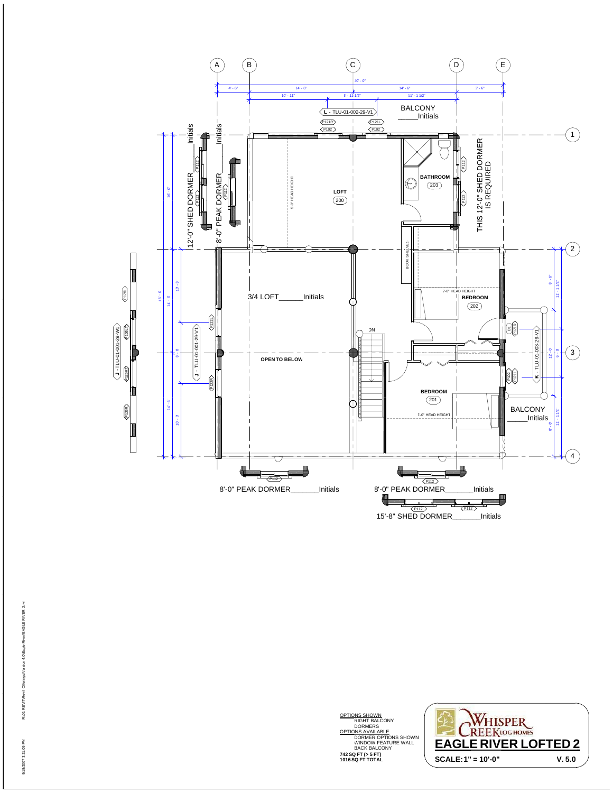

**742 SQ FT (> 5 FT) 1016 SQ FT TOTAL** OPTIONS SHOWN<br>RIGHT BALCONY<br>DORMERS<br>OPTIONS AVAILABLE<br>DORMER OPTIONS SHOWN<br>WINDOW FEATURE WALL<br>BACK BALCONY

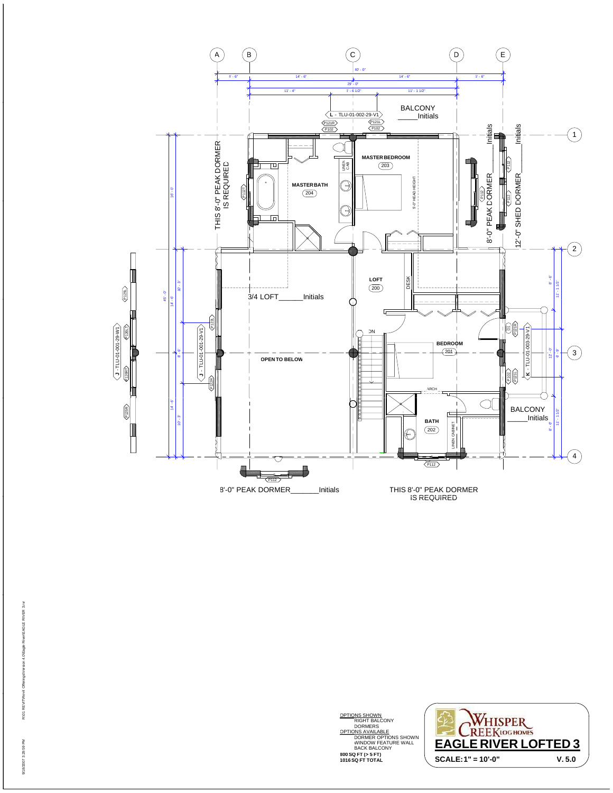

**800 SQ FT (> 5 FT) 1016 SQ FT TOTAL** OPTIONS SHOWN<br>RIGHT BALCONY<br>DORMERS<br>OPTIONS AVAILABLE<br>DORMER OPTIONS SHOWN<br>WINDOW FEATURE WALL<br>BACK BALCONY

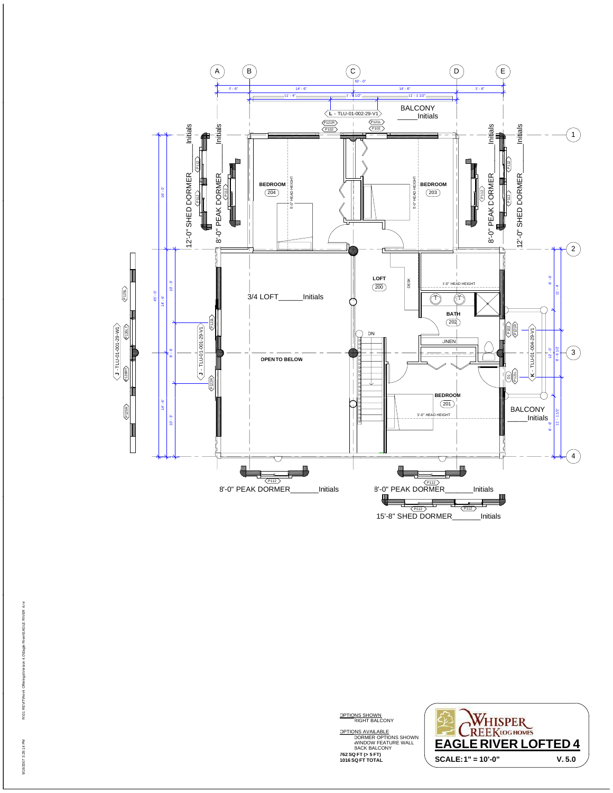

OPTIONS SHOWN<br>RIGHT BALCONY

**762 SQ FT (> 5 FT) 1016 SQ FT TOTAL**

WHISPER OPTIONS AVAILABLE DORMER OPTIONS SHOWN WINDOW FEATURE WALL BACK BALCONY **EAGLE RIVER LOFTED 4SCALE:1" = 10'-0" V. 5.0**